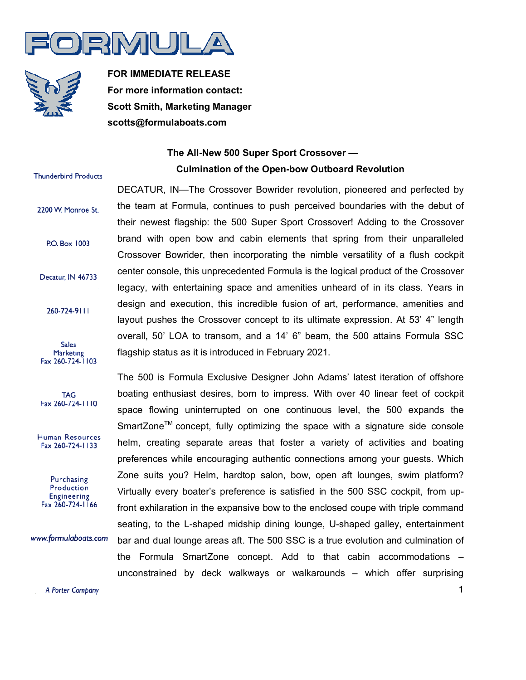



**FOR IMMEDIATE RELEASE For more information contact: Scott Smith, Marketing Manager scotts@formulaboats.com**

## **The All-New 500 Super Sport Crossover — Culmination of the Open-bow Outboard Revolution**

## **Thunderbird Products**

2200 W. Monroe St.

- **P.O. Box 1003**
- Decatur, IN 46733
	- 260-724-9111
- **Sales** Marketing Fax 260-724-1103
- **TAG** Fax 260-724-1110
- Human Resources Fax 260-724-1133

Purchasing Production Engineering Fax 260-724-1166

www.formulaboats.com

DECATUR, IN—The Crossover Bowrider revolution, pioneered and perfected by the team at Formula, continues to push perceived boundaries with the debut of their newest flagship: the 500 Super Sport Crossover! Adding to the Crossover brand with open bow and cabin elements that spring from their unparalleled Crossover Bowrider, then incorporating the nimble versatility of a flush cockpit center console, this unprecedented Formula is the logical product of the Crossover legacy, with entertaining space and amenities unheard of in its class. Years in design and execution, this incredible fusion of art, performance, amenities and layout pushes the Crossover concept to its ultimate expression. At 53' 4" length overall, 50' LOA to transom, and a 14' 6" beam, the 500 attains Formula SSC flagship status as it is introduced in February 2021.

The 500 is Formula Exclusive Designer John Adams' latest iteration of offshore boating enthusiast desires, born to impress. With over 40 linear feet of cockpit space flowing uninterrupted on one continuous level, the 500 expands the SmartZone<sup>™</sup> concept, fully optimizing the space with a signature side console helm, creating separate areas that foster a variety of activities and boating preferences while encouraging authentic connections among your guests. Which Zone suits you? Helm, hardtop salon, bow, open aft lounges, swim platform? Virtually every boater's preference is satisfied in the 500 SSC cockpit, from upfront exhilaration in the expansive bow to the enclosed coupe with triple command seating, to the L-shaped midship dining lounge, U-shaped galley, entertainment bar and dual lounge areas aft. The 500 SSC is a true evolution and culmination of the Formula SmartZone concept. Add to that cabin accommodations – unconstrained by deck walkways or walkarounds – which offer surprising

A Porter Company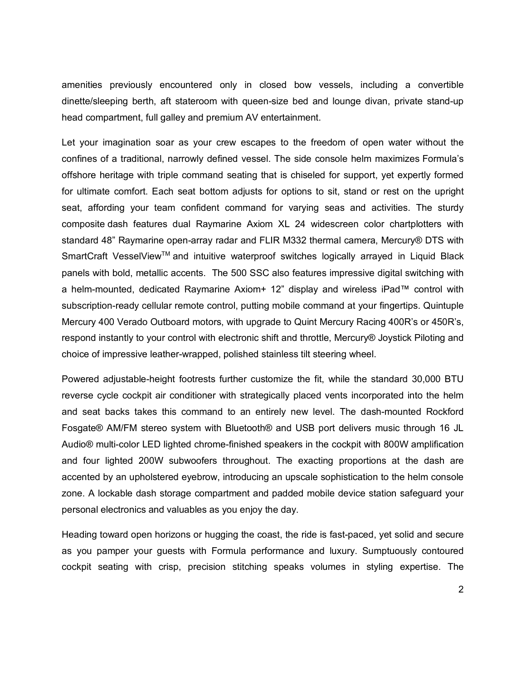amenities previously encountered only in closed bow vessels, including a convertible dinette/sleeping berth, aft stateroom with queen-size bed and lounge divan, private stand-up head compartment, full galley and premium AV entertainment.

Let your imagination soar as your crew escapes to the freedom of open water without the confines of a traditional, narrowly defined vessel. The side console helm maximizes Formula's offshore heritage with triple command seating that is chiseled for support, yet expertly formed for ultimate comfort. Each seat bottom adjusts for options to sit, stand or rest on the upright seat, affording your team confident command for varying seas and activities. The sturdy composite dash features dual Raymarine Axiom XL 24 widescreen color chartplotters with standard 48" Raymarine open-array radar and FLIR M332 thermal camera, Mercury® DTS with SmartCraft VesselView™ and intuitive waterproof switches logically arrayed in Liquid Black panels with bold, metallic accents. The 500 SSC also features impressive digital switching with a helm-mounted, dedicated Raymarine Axiom+ 12" display and wireless iPad™ control with subscription-ready cellular remote control, putting mobile command at your fingertips. Quintuple Mercury 400 Verado Outboard motors, with upgrade to Quint Mercury Racing 400R's or 450R's, respond instantly to your control with electronic shift and throttle, Mercury® Joystick Piloting and choice of impressive leather-wrapped, polished stainless tilt steering wheel.

Powered adjustable-height footrests further customize the fit, while the standard 30,000 BTU reverse cycle cockpit air conditioner with strategically placed vents incorporated into the helm and seat backs takes this command to an entirely new level. The dash-mounted Rockford Fosgate® AM/FM stereo system with Bluetooth® and USB port delivers music through 16 JL Audio® multi-color LED lighted chrome-finished speakers in the cockpit with 800W amplification and four lighted 200W subwoofers throughout. The exacting proportions at the dash are accented by an upholstered eyebrow, introducing an upscale sophistication to the helm console zone. A lockable dash storage compartment and padded mobile device station safeguard your personal electronics and valuables as you enjoy the day.

Heading toward open horizons or hugging the coast, the ride is fast-paced, yet solid and secure as you pamper your guests with Formula performance and luxury. Sumptuously contoured cockpit seating with crisp, precision stitching speaks volumes in styling expertise. The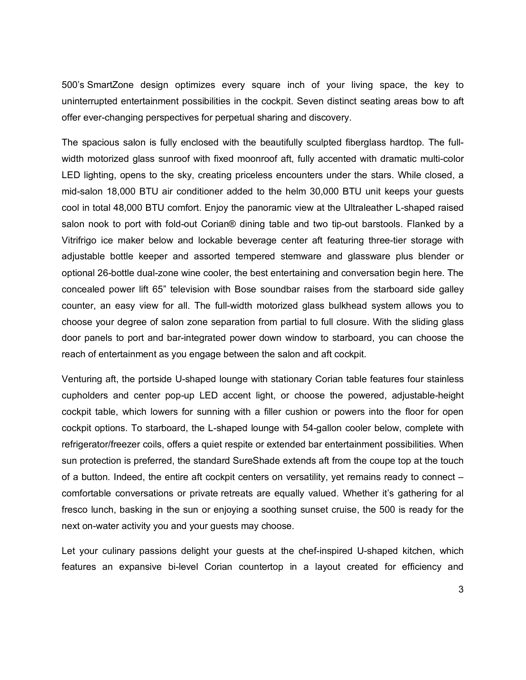500's SmartZone design optimizes every square inch of your living space, the key to uninterrupted entertainment possibilities in the cockpit. Seven distinct seating areas bow to aft offer ever-changing perspectives for perpetual sharing and discovery.

The spacious salon is fully enclosed with the beautifully sculpted fiberglass hardtop. The fullwidth motorized glass sunroof with fixed moonroof aft, fully accented with dramatic multi-color LED lighting, opens to the sky, creating priceless encounters under the stars. While closed, a mid-salon 18,000 BTU air conditioner added to the helm 30,000 BTU unit keeps your guests cool in total 48,000 BTU comfort. Enjoy the panoramic view at the Ultraleather L-shaped raised salon nook to port with fold-out Corian® dining table and two tip-out barstools. Flanked by a Vitrifrigo ice maker below and lockable beverage center aft featuring three-tier storage with adjustable bottle keeper and assorted tempered stemware and glassware plus blender or optional 26-bottle dual-zone wine cooler, the best entertaining and conversation begin here. The concealed power lift 65" television with Bose soundbar raises from the starboard side galley counter, an easy view for all. The full-width motorized glass bulkhead system allows you to choose your degree of salon zone separation from partial to full closure. With the sliding glass door panels to port and bar-integrated power down window to starboard, you can choose the reach of entertainment as you engage between the salon and aft cockpit.

Venturing aft, the portside U-shaped lounge with stationary Corian table features four stainless cupholders and center pop-up LED accent light, or choose the powered, adjustable-height cockpit table, which lowers for sunning with a filler cushion or powers into the floor for open cockpit options. To starboard, the L-shaped lounge with 54-gallon cooler below, complete with refrigerator/freezer coils, offers a quiet respite or extended bar entertainment possibilities. When sun protection is preferred, the standard SureShade extends aft from the coupe top at the touch of a button. Indeed, the entire aft cockpit centers on versatility, yet remains ready to connect – comfortable conversations or private retreats are equally valued. Whether it's gathering for al fresco lunch, basking in the sun or enjoying a soothing sunset cruise, the 500 is ready for the next on-water activity you and your guests may choose.

Let your culinary passions delight your guests at the chef-inspired U-shaped kitchen, which features an expansive bi-level Corian countertop in a layout created for efficiency and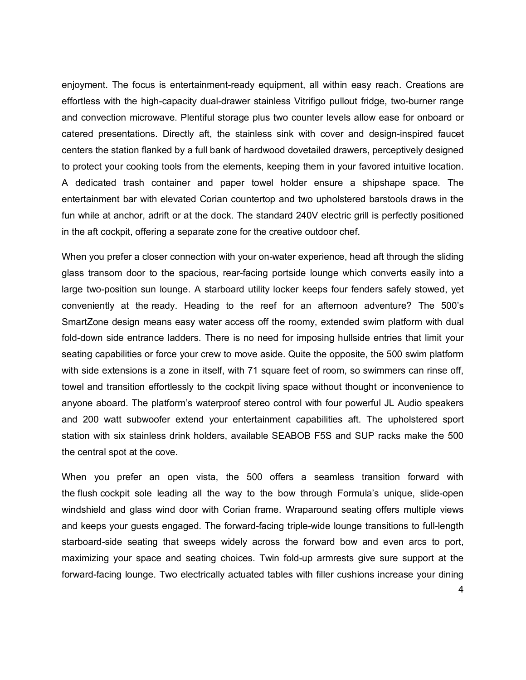enjoyment. The focus is entertainment-ready equipment, all within easy reach. Creations are effortless with the high-capacity dual-drawer stainless Vitrifigo pullout fridge, two-burner range and convection microwave. Plentiful storage plus two counter levels allow ease for onboard or catered presentations. Directly aft, the stainless sink with cover and design-inspired faucet centers the station flanked by a full bank of hardwood dovetailed drawers, perceptively designed to protect your cooking tools from the elements, keeping them in your favored intuitive location. A dedicated trash container and paper towel holder ensure a shipshape space. The entertainment bar with elevated Corian countertop and two upholstered barstools draws in the fun while at anchor, adrift or at the dock. The standard 240V electric grill is perfectly positioned in the aft cockpit, offering a separate zone for the creative outdoor chef.

When you prefer a closer connection with your on-water experience, head aft through the sliding glass transom door to the spacious, rear-facing portside lounge which converts easily into a large two-position sun lounge. A starboard utility locker keeps four fenders safely stowed, yet conveniently at the ready. Heading to the reef for an afternoon adventure? The 500's SmartZone design means easy water access off the roomy, extended swim platform with dual fold-down side entrance ladders. There is no need for imposing hullside entries that limit your seating capabilities or force your crew to move aside. Quite the opposite, the 500 swim platform with side extensions is a zone in itself, with 71 square feet of room, so swimmers can rinse off, towel and transition effortlessly to the cockpit living space without thought or inconvenience to anyone aboard. The platform's waterproof stereo control with four powerful JL Audio speakers and 200 watt subwoofer extend your entertainment capabilities aft. The upholstered sport station with six stainless drink holders, available SEABOB F5S and SUP racks make the 500 the central spot at the cove.

When you prefer an open vista, the 500 offers a seamless transition forward with the flush cockpit sole leading all the way to the bow through Formula's unique, slide-open windshield and glass wind door with Corian frame. Wraparound seating offers multiple views and keeps your guests engaged. The forward-facing triple-wide lounge transitions to full-length starboard-side seating that sweeps widely across the forward bow and even arcs to port, maximizing your space and seating choices. Twin fold-up armrests give sure support at the forward-facing lounge. Two electrically actuated tables with filler cushions increase your dining

4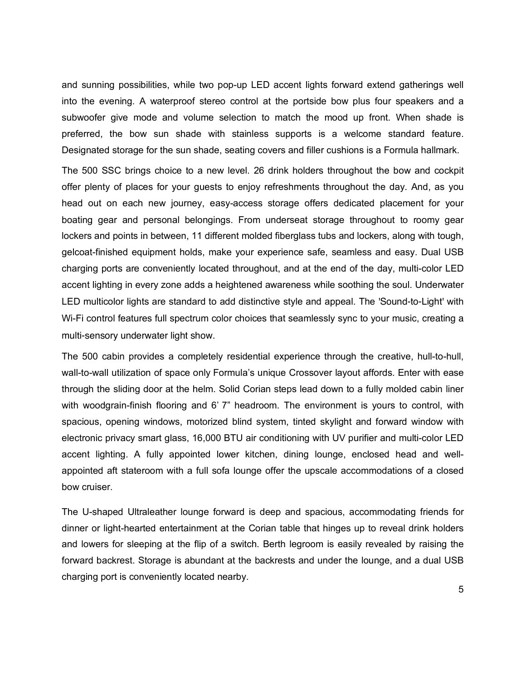and sunning possibilities, while two pop-up LED accent lights forward extend gatherings well into the evening. A waterproof stereo control at the portside bow plus four speakers and a subwoofer give mode and volume selection to match the mood up front. When shade is preferred, the bow sun shade with stainless supports is a welcome standard feature. Designated storage for the sun shade, seating covers and filler cushions is a Formula hallmark.

The 500 SSC brings choice to a new level. 26 drink holders throughout the bow and cockpit offer plenty of places for your guests to enjoy refreshments throughout the day. And, as you head out on each new journey, easy-access storage offers dedicated placement for your boating gear and personal belongings. From underseat storage throughout to roomy gear lockers and points in between, 11 different molded fiberglass tubs and lockers, along with tough, gelcoat-finished equipment holds, make your experience safe, seamless and easy. Dual USB charging ports are conveniently located throughout, and at the end of the day, multi-color LED accent lighting in every zone adds a heightened awareness while soothing the soul. Underwater LED multicolor lights are standard to add distinctive style and appeal. The 'Sound-to-Light' with Wi-Fi control features full spectrum color choices that seamlessly sync to your music, creating a multi-sensory underwater light show.

The 500 cabin provides a completely residential experience through the creative, hull-to-hull, wall-to-wall utilization of space only Formula's unique Crossover layout affords. Enter with ease through the sliding door at the helm. Solid Corian steps lead down to a fully molded cabin liner with woodgrain-finish flooring and 6' 7" headroom. The environment is yours to control, with spacious, opening windows, motorized blind system, tinted skylight and forward window with electronic privacy smart glass, 16,000 BTU air conditioning with UV purifier and multi-color LED accent lighting. A fully appointed lower kitchen, dining lounge, enclosed head and wellappointed aft stateroom with a full sofa lounge offer the upscale accommodations of a closed bow cruiser.

The U-shaped Ultraleather lounge forward is deep and spacious, accommodating friends for dinner or light-hearted entertainment at the Corian table that hinges up to reveal drink holders and lowers for sleeping at the flip of a switch. Berth legroom is easily revealed by raising the forward backrest. Storage is abundant at the backrests and under the lounge, and a dual USB charging port is conveniently located nearby.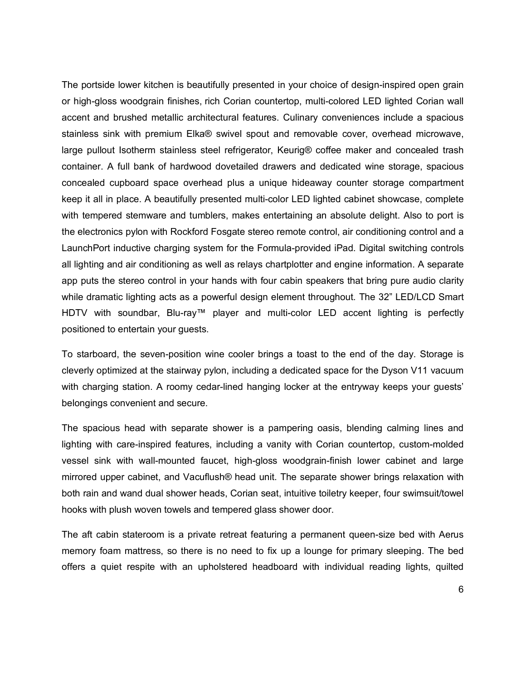The portside lower kitchen is beautifully presented in your choice of design-inspired open grain or high-gloss woodgrain finishes, rich Corian countertop, multi-colored LED lighted Corian wall accent and brushed metallic architectural features. Culinary conveniences include a spacious stainless sink with premium Elka® swivel spout and removable cover, overhead microwave, large pullout Isotherm stainless steel refrigerator, Keurig® coffee maker and concealed trash container. A full bank of hardwood dovetailed drawers and dedicated wine storage, spacious concealed cupboard space overhead plus a unique hideaway counter storage compartment keep it all in place. A beautifully presented multi-color LED lighted cabinet showcase, complete with tempered stemware and tumblers, makes entertaining an absolute delight. Also to port is the electronics pylon with Rockford Fosgate stereo remote control, air conditioning control and a LaunchPort inductive charging system for the Formula-provided iPad. Digital switching controls all lighting and air conditioning as well as relays chartplotter and engine information. A separate app puts the stereo control in your hands with four cabin speakers that bring pure audio clarity while dramatic lighting acts as a powerful design element throughout. The 32" LED/LCD Smart HDTV with soundbar, Blu-ray™ player and multi-color LED accent lighting is perfectly positioned to entertain your guests.

To starboard, the seven-position wine cooler brings a toast to the end of the day. Storage is cleverly optimized at the stairway pylon, including a dedicated space for the Dyson V11 vacuum with charging station. A roomy cedar-lined hanging locker at the entryway keeps your guests' belongings convenient and secure.

The spacious head with separate shower is a pampering oasis, blending calming lines and lighting with care-inspired features, including a vanity with Corian countertop, custom-molded vessel sink with wall-mounted faucet, high-gloss woodgrain-finish lower cabinet and large mirrored upper cabinet, and Vacuflush® head unit. The separate shower brings relaxation with both rain and wand dual shower heads, Corian seat, intuitive toiletry keeper, four swimsuit/towel hooks with plush woven towels and tempered glass shower door.

The aft cabin stateroom is a private retreat featuring a permanent queen-size bed with Aerus memory foam mattress, so there is no need to fix up a lounge for primary sleeping. The bed offers a quiet respite with an upholstered headboard with individual reading lights, quilted